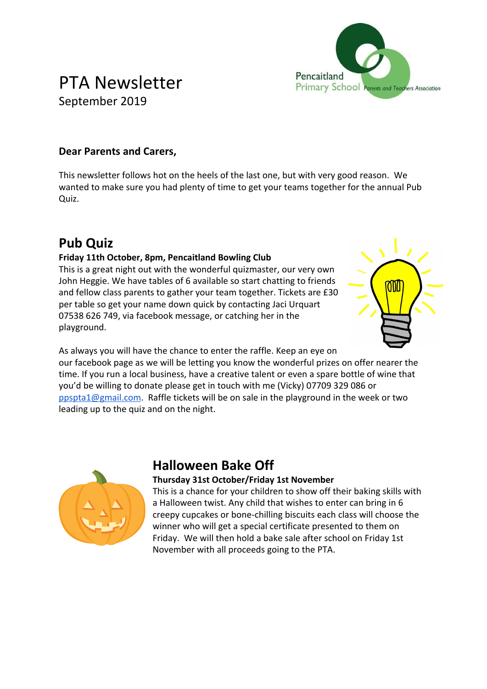

## PTA Newsletter September 2019

#### **Dear Parents and Carers,**

This newsletter follows hot on the heels of the last one, but with very good reason. We wanted to make sure you had plenty of time to get your teams together for the annual Pub Quiz.

### **Pub Quiz**

#### **Friday 11th October, 8pm, Pencaitland Bowling Club**

This is a great night out with the wonderful quizmaster, our very own John Heggie. We have tables of 6 available so start chatting to friends and fellow class parents to gather your team together. Tickets are £30 per table so get your name down quick by contacting Jaci Urquart 07538 626 749, via facebook message, or catching her in the playground.



As always you will have the chance to enter the raffle. Keep an eye on our facebook page as we will be letting you know the wonderful prizes on offer nearer the time. If you run a local business, have a creative talent or even a spare bottle of wine that you'd be willing to donate please get in touch with me (Vicky) 07709 329 086 or [ppspta1@gmail.com.](mailto:ppspta1@gmail.com) Raffle tickets will be on sale in the playground in the week or two leading up to the quiz and on the night.



### **Halloween Bake Off**

#### **Thursday 31st October/Friday 1st November**

This is a chance for your children to show off their baking skills with a Halloween twist. Any child that wishes to enter can bring in 6 creepy cupcakes or bone-chilling biscuits each class will choose the winner who will get a special certificate presented to them on Friday. We will then hold a bake sale after school on Friday 1st November with all proceeds going to the PTA.